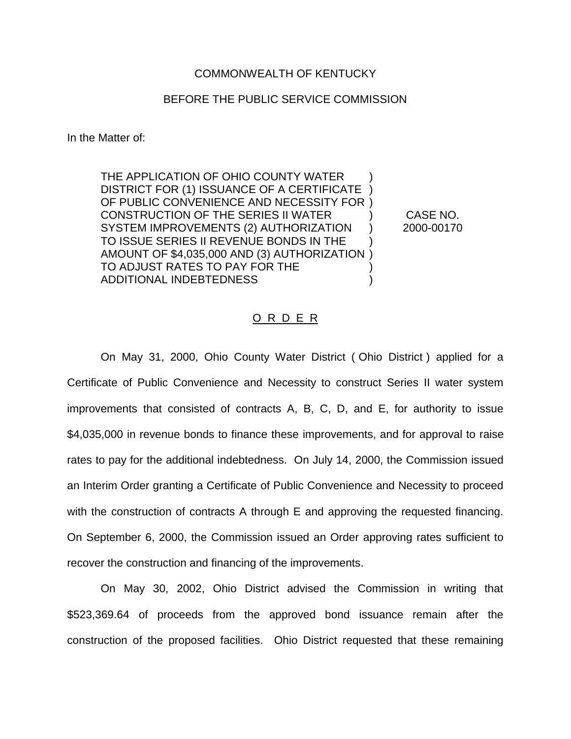## COMMONWEALTH OF KENTUCKY

## BEFORE THE PUBLIC SERVICE COMMISSION

In the Matter of:

THE APPLICATION OF OHIO COUNTY WATER DISTRICT FOR (1) ISSUANCE OF A CERTIFICATE ) OF PUBLIC CONVENIENCE AND NECESSITY FOR ) CONSTRUCTION OF THE SERIES II WATER ) CASE NO. SYSTEM IMPROVEMENTS (2) AUTHORIZATION ) 2000-00170 TO ISSUE SERIES II REVENUE BONDS IN THE ) AMOUNT OF \$4,035,000 AND (3) AUTHORIZATION ) TO ADJUST RATES TO PAY FOR THE ADDITIONAL INDEBTEDNESS (NOTICE ASSESSED )

## O R D E R

On May 31, 2000, Ohio County Water District ( Ohio District ) applied for a Certificate of Public Convenience and Necessity to construct Series II water system improvements that consisted of contracts A, B, C, D, and E, for authority to issue \$4,035,000 in revenue bonds to finance these improvements, and for approval to raise rates to pay for the additional indebtedness. On July 14, 2000, the Commission issued an Interim Order granting a Certificate of Public Convenience and Necessity to proceed with the construction of contracts A through E and approving the requested financing. On September 6, 2000, the Commission issued an Order approving rates sufficient to recover the construction and financing of the improvements.

On May 30, 2002, Ohio District advised the Commission in writing that \$523,369.64 of proceeds from the approved bond issuance remain after the construction of the proposed facilities. Ohio District requested that these remaining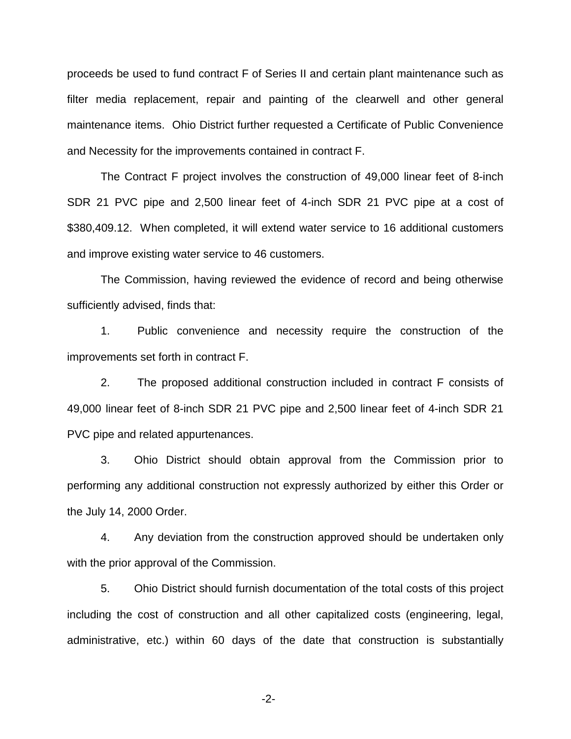proceeds be used to fund contract F of Series II and certain plant maintenance such as filter media replacement, repair and painting of the clearwell and other general maintenance items. Ohio District further requested a Certificate of Public Convenience and Necessity for the improvements contained in contract F.

The Contract F project involves the construction of 49,000 linear feet of 8-inch SDR 21 PVC pipe and 2,500 linear feet of 4-inch SDR 21 PVC pipe at a cost of \$380,409.12. When completed, it will extend water service to 16 additional customers and improve existing water service to 46 customers.

The Commission, having reviewed the evidence of record and being otherwise sufficiently advised, finds that:

1. Public convenience and necessity require the construction of the improvements set forth in contract F.

2. The proposed additional construction included in contract F consists of 49,000 linear feet of 8-inch SDR 21 PVC pipe and 2,500 linear feet of 4-inch SDR 21 PVC pipe and related appurtenances.

3. Ohio District should obtain approval from the Commission prior to performing any additional construction not expressly authorized by either this Order or the July 14, 2000 Order.

4. Any deviation from the construction approved should be undertaken only with the prior approval of the Commission.

5. Ohio District should furnish documentation of the total costs of this project including the cost of construction and all other capitalized costs (engineering, legal, administrative, etc.) within 60 days of the date that construction is substantially

-2-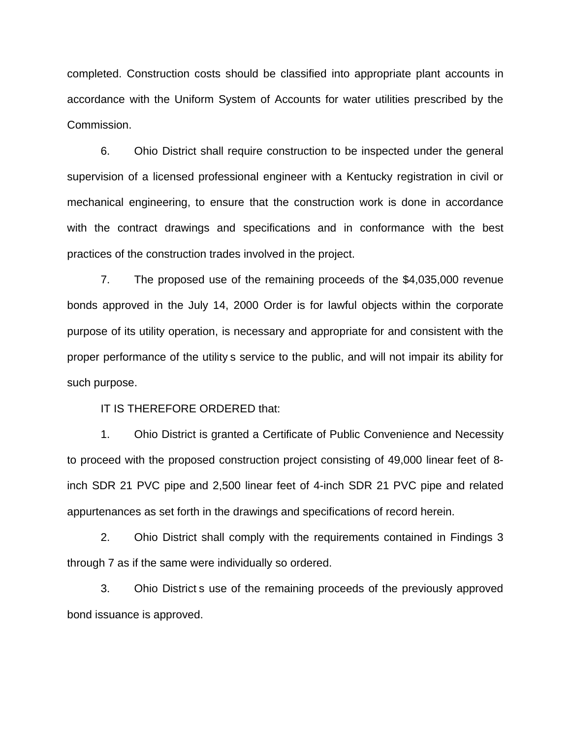completed. Construction costs should be classified into appropriate plant accounts in accordance with the Uniform System of Accounts for water utilities prescribed by the Commission.

6. Ohio District shall require construction to be inspected under the general supervision of a licensed professional engineer with a Kentucky registration in civil or mechanical engineering, to ensure that the construction work is done in accordance with the contract drawings and specifications and in conformance with the best practices of the construction trades involved in the project.

7. The proposed use of the remaining proceeds of the \$4,035,000 revenue bonds approved in the July 14, 2000 Order is for lawful objects within the corporate purpose of its utility operation, is necessary and appropriate for and consistent with the proper performance of the utility s service to the public, and will not impair its ability for such purpose.

IT IS THEREFORE ORDERED that:

1. Ohio District is granted a Certificate of Public Convenience and Necessity to proceed with the proposed construction project consisting of 49,000 linear feet of 8 inch SDR 21 PVC pipe and 2,500 linear feet of 4-inch SDR 21 PVC pipe and related appurtenances as set forth in the drawings and specifications of record herein.

2. Ohio District shall comply with the requirements contained in Findings 3 through 7 as if the same were individually so ordered.

3. Ohio District s use of the remaining proceeds of the previously approved bond issuance is approved.